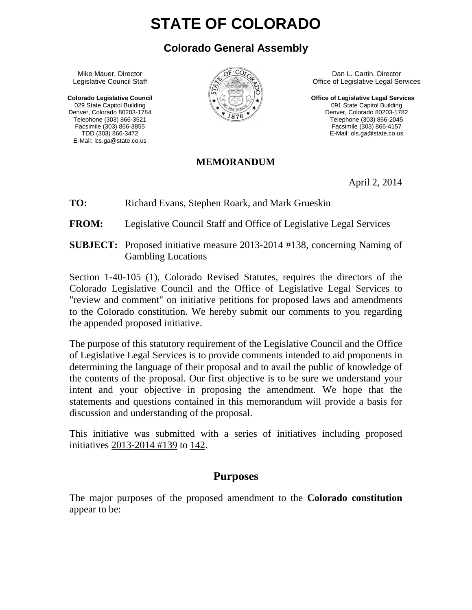# **STATE OF COLORADO**

## **Colorado General Assembly**

 Mike Mauer, Director Legislative Council Staff

 **Colorado Legislative Council**  029 State Capitol Building Denver, Colorado 80203-1784 Telephone (303) 866-3521 Facsimile (303) 866-3855 TDD (303) 866-3472 E-Mail: lcs.ga@state.co.us



 Dan L. Cartin, Director Office of Legislative Legal Services

**Office of Legislative Legal Services**  091 State Capitol Building Denver, Colorado 80203-1782 Telephone (303) 866-2045 Facsimile (303) 866-4157 E-Mail: ols.ga@state.co.us

#### **MEMORANDUM**

April 2, 2014

**TO:** Richard Evans, Stephen Roark, and Mark Grueskin

**FROM:** Legislative Council Staff and Office of Legislative Legal Services

**SUBJECT:** Proposed initiative measure 2013-2014 #138, concerning Naming of Gambling Locations

Section 1-40-105 (1), Colorado Revised Statutes, requires the directors of the Colorado Legislative Council and the Office of Legislative Legal Services to "review and comment" on initiative petitions for proposed laws and amendments to the Colorado constitution. We hereby submit our comments to you regarding the appended proposed initiative.

The purpose of this statutory requirement of the Legislative Council and the Office of Legislative Legal Services is to provide comments intended to aid proponents in determining the language of their proposal and to avail the public of knowledge of the contents of the proposal. Our first objective is to be sure we understand your intent and your objective in proposing the amendment. We hope that the statements and questions contained in this memorandum will provide a basis for discussion and understanding of the proposal.

This initiative was submitted with a series of initiatives including proposed initiatives 2013-2014 #139 to 142.

### **Purposes**

The major purposes of the proposed amendment to the **Colorado constitution**  appear to be: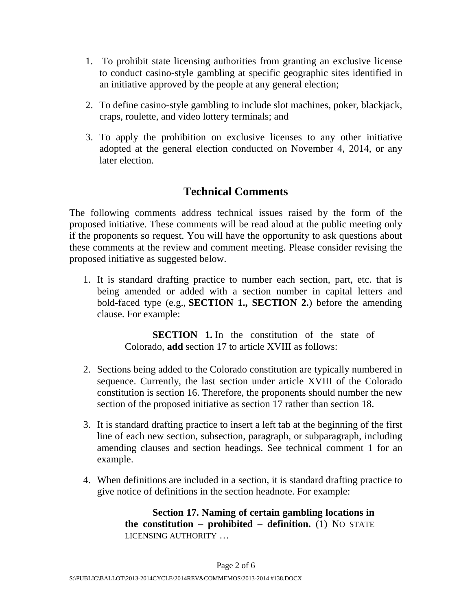- 1. To prohibit state licensing authorities from granting an exclusive license to conduct casino-style gambling at specific geographic sites identified in an initiative approved by the people at any general election;
- 2. To define casino-style gambling to include slot machines, poker, blackjack, craps, roulette, and video lottery terminals; and
- 3. To apply the prohibition on exclusive licenses to any other initiative adopted at the general election conducted on November 4, 2014, or any later election.

# **Technical Comments**

The following comments address technical issues raised by the form of the proposed initiative. These comments will be read aloud at the public meeting only if the proponents so request. You will have the opportunity to ask questions about these comments at the review and comment meeting. Please consider revising the proposed initiative as suggested below.

1. It is standard drafting practice to number each section, part, etc. that is being amended or added with a section number in capital letters and bold-faced type (e.g., **SECTION 1., SECTION 2.**) before the amending clause. For example:

> **SECTION** 1. In the constitution of the state of Colorado, **add** section 17 to article XVIII as follows:

- 2. Sections being added to the Colorado constitution are typically numbered in sequence. Currently, the last section under article XVIII of the Colorado constitution is section 16. Therefore, the proponents should number the new section of the proposed initiative as section 17 rather than section 18.
- 3. It is standard drafting practice to insert a left tab at the beginning of the first line of each new section, subsection, paragraph, or subparagraph, including amending clauses and section headings. See technical comment 1 for an example.
- 4. When definitions are included in a section, it is standard drafting practice to give notice of definitions in the section headnote. For example:

**Section 17. Naming of certain gambling locations in the constitution – prohibited – definition.** (1) NO STATE LICENSING AUTHORITY …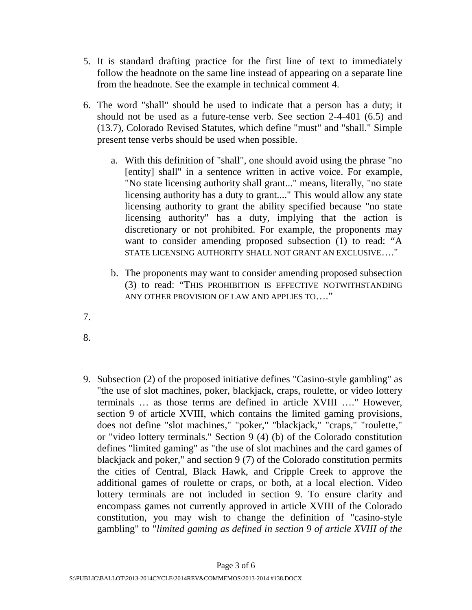- 5. It is standard drafting practice for the first line of text to immediately follow the headnote on the same line instead of appearing on a separate line from the headnote. See the example in technical comment 4.
- 6. The word "shall" should be used to indicate that a person has a duty; it should not be used as a future-tense verb. See section 2-4-401 (6.5) and (13.7), Colorado Revised Statutes, which define "must" and "shall." Simple present tense verbs should be used when possible.
	- a. With this definition of "shall", one should avoid using the phrase "no [entity] shall" in a sentence written in active voice. For example, "No state licensing authority shall grant..." means, literally, "no state licensing authority has a duty to grant...." This would allow any state licensing authority to grant the ability specified because "no state licensing authority" has a duty, implying that the action is discretionary or not prohibited. For example, the proponents may want to consider amending proposed subsection (1) to read: "A STATE LICENSING AUTHORITY SHALL NOT GRANT AN EXCLUSIVE…."
	- b. The proponents may want to consider amending proposed subsection (3) to read: "THIS PROHIBITION IS EFFECTIVE NOTWITHSTANDING ANY OTHER PROVISION OF LAW AND APPLIES TO…."
- 7.
- 8.
- 9. Subsection (2) of the proposed initiative defines "Casino-style gambling" as "the use of slot machines, poker, blackjack, craps, roulette, or video lottery terminals … as those terms are defined in article XVIII …." However, section 9 of article XVIII, which contains the limited gaming provisions, does not define "slot machines," "poker," "blackjack," "craps," "roulette," or "video lottery terminals." Section 9 (4) (b) of the Colorado constitution defines "limited gaming" as "the use of slot machines and the card games of blackjack and poker," and section 9 (7) of the Colorado constitution permits the cities of Central, Black Hawk, and Cripple Creek to approve the additional games of roulette or craps, or both, at a local election. Video lottery terminals are not included in section 9. To ensure clarity and encompass games not currently approved in article XVIII of the Colorado constitution, you may wish to change the definition of "casino-style gambling" to "*limited gaming as defined in section 9 of article XVIII of the*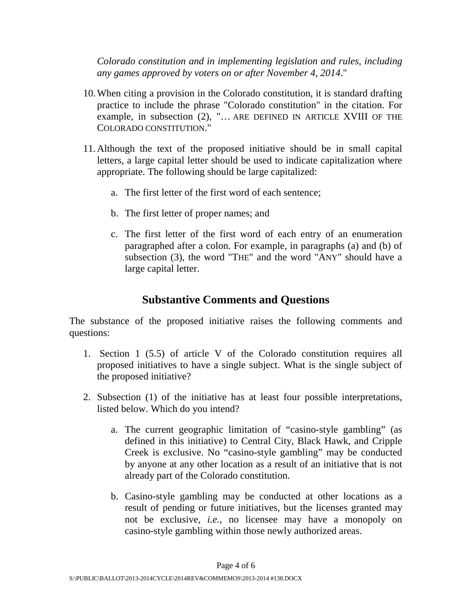*Colorado constitution and in implementing legislation and rules, including any games approved by voters on or after November 4, 2014*."

- 10.When citing a provision in the Colorado constitution, it is standard drafting practice to include the phrase "Colorado constitution" in the citation. For example, in subsection (2), "… ARE DEFINED IN ARTICLE XVIII OF THE COLORADO CONSTITUTION."
- 11.Although the text of the proposed initiative should be in small capital letters, a large capital letter should be used to indicate capitalization where appropriate. The following should be large capitalized:
	- a. The first letter of the first word of each sentence;
	- b. The first letter of proper names; and
	- c. The first letter of the first word of each entry of an enumeration paragraphed after a colon. For example, in paragraphs (a) and (b) of subsection (3), the word "THE" and the word "ANY" should have a large capital letter.

#### **Substantive Comments and Questions**

The substance of the proposed initiative raises the following comments and questions:

- 1. Section 1 (5.5) of article V of the Colorado constitution requires all proposed initiatives to have a single subject. What is the single subject of the proposed initiative?
- 2. Subsection (1) of the initiative has at least four possible interpretations, listed below. Which do you intend?
	- a. The current geographic limitation of "casino-style gambling" (as defined in this initiative) to Central City, Black Hawk, and Cripple Creek is exclusive. No "casino-style gambling" may be conducted by anyone at any other location as a result of an initiative that is not already part of the Colorado constitution.
	- b. Casino-style gambling may be conducted at other locations as a result of pending or future initiatives, but the licenses granted may not be exclusive, *i.e.*, no licensee may have a monopoly on casino-style gambling within those newly authorized areas.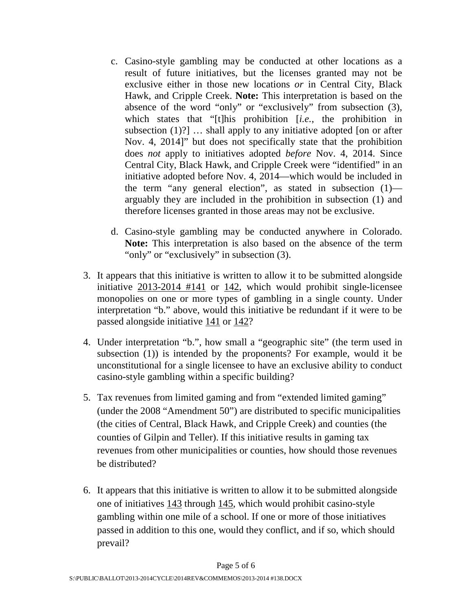- c. Casino-style gambling may be conducted at other locations as a result of future initiatives, but the licenses granted may not be exclusive either in those new locations *or* in Central City, Black Hawk, and Cripple Creek. **Note:** This interpretation is based on the absence of the word "only" or "exclusively" from subsection (3), which states that "[t]his prohibition [*i.e.*, the prohibition in subsection  $(1)$ ?]  $\ldots$  shall apply to any initiative adopted [on or after Nov. 4, 2014]" but does not specifically state that the prohibition does *not* apply to initiatives adopted *before* Nov. 4, 2014. Since Central City, Black Hawk, and Cripple Creek were "identified" in an initiative adopted before Nov. 4, 2014—which would be included in the term "any general election", as stated in subsection (1) arguably they are included in the prohibition in subsection (1) and therefore licenses granted in those areas may not be exclusive.
- d. Casino-style gambling may be conducted anywhere in Colorado. **Note:** This interpretation is also based on the absence of the term "only" or "exclusively" in subsection (3).
- 3. It appears that this initiative is written to allow it to be submitted alongside initiative 2013-2014 #141 or 142, which would prohibit single-licensee monopolies on one or more types of gambling in a single county. Under interpretation "b." above, would this initiative be redundant if it were to be passed alongside initiative 141 or 142?
- 4. Under interpretation "b.", how small a "geographic site" (the term used in subsection (1)) is intended by the proponents? For example, would it be unconstitutional for a single licensee to have an exclusive ability to conduct casino-style gambling within a specific building?
- 5. Tax revenues from limited gaming and from "extended limited gaming" (under the 2008 "Amendment 50") are distributed to specific municipalities (the cities of Central, Black Hawk, and Cripple Creek) and counties (the counties of Gilpin and Teller). If this initiative results in gaming tax revenues from other municipalities or counties, how should those revenues be distributed?
- 6. It appears that this initiative is written to allow it to be submitted alongside one of initiatives 143 through 145, which would prohibit casino-style gambling within one mile of a school. If one or more of those initiatives passed in addition to this one, would they conflict, and if so, which should prevail?